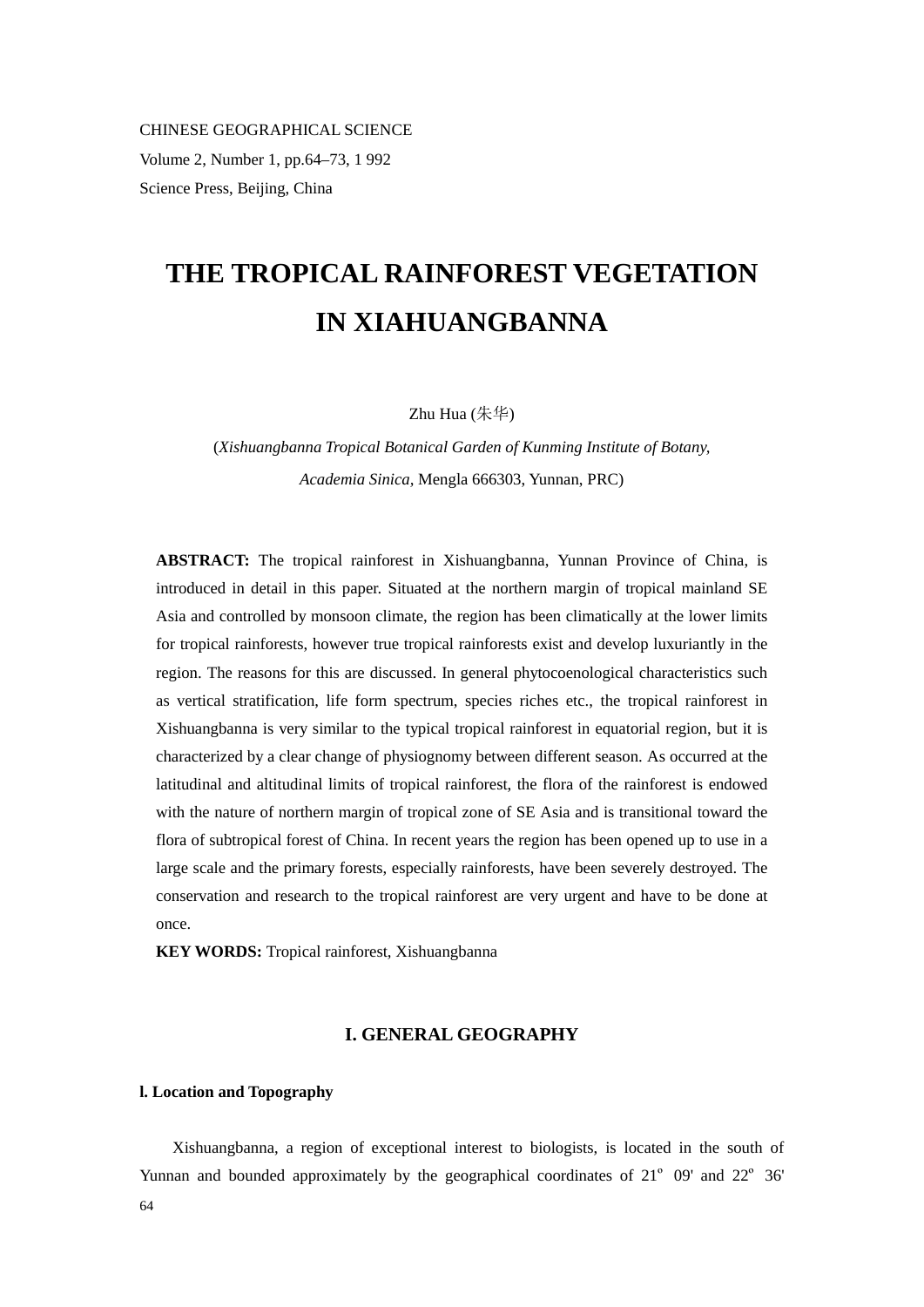CHINESE GEOGRAPHICAL SCIENCE Volume 2, Number 1, pp.64–73, 1 992 Science Press, Beijing, China

# **THE TROPICAL RAINFOREST VEGETATION IN XIAHUANGBANNA**

Zhu Hua (朱华)

(*Xishuangbanna Tropical Botanical Garden of Kunming Institute of Botany, Academia Sinica,* Mengla 666303, Yunnan, PRC)

**ABSTRACT:** The tropical rainforest in Xishuangbanna, Yunnan Province of China, is introduced in detail in this paper. Situated at the northern margin of tropical mainland SE Asia and controlled by monsoon climate, the region has been climatically at the lower limits for tropical rainforests, however true tropical rainforests exist and develop luxuriantly in the region. The reasons for this are discussed. In general phytocoenological characteristics such as vertical stratification, life form spectrum, species riches etc., the tropical rainforest in Xishuangbanna is very similar to the typical tropical rainforest in equatorial region, but it is characterized by a clear change of physiognomy between different season. As occurred at the latitudinal and altitudinal limits of tropical rainforest, the flora of the rainforest is endowed with the nature of northern margin of tropical zone of SE Asia and is transitional toward the flora of subtropical forest of China. In recent years the region has been opened up to use in a large scale and the primary forests, especially rainforests, have been severely destroyed. The conservation and research to the tropical rainforest are very urgent and have to be done at once.

**KEY WORDS:** Tropical rainforest, Xishuangbanna

# **I. GENERAL GEOGRAPHY**

#### **l. Location and Topography**

64 Xishuangbanna, a region of exceptional interest to biologists, is located in the south of Yunnan and bounded approximately by the geographical coordinates of 21º 09' and 22º 36'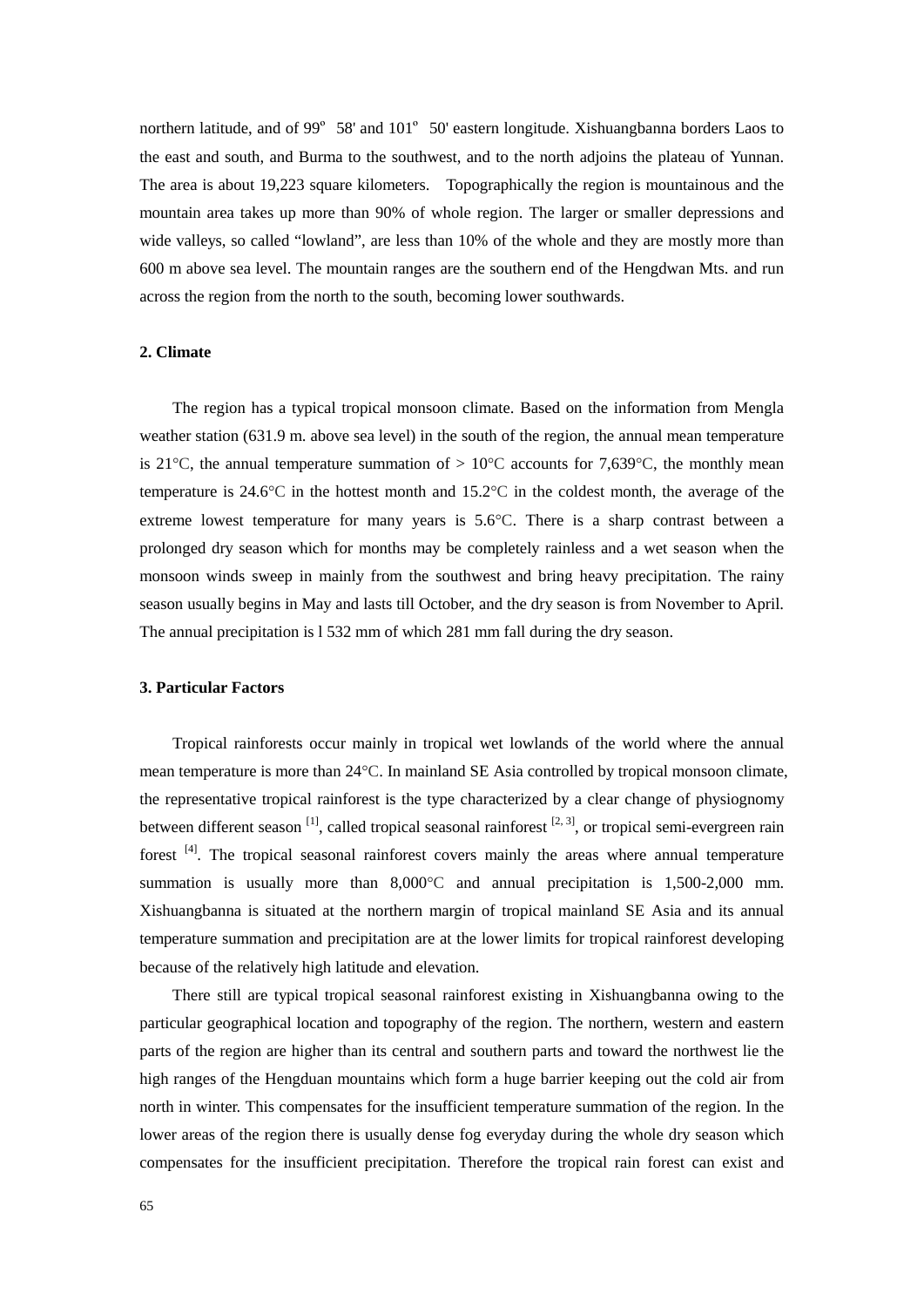northern latitude, and of 99º 58' and 101º 50' eastern longitude. Xishuangbanna borders Laos to the east and south, and Burma to the southwest, and to the north adjoins the plateau of Yunnan. The area is about 19,223 square kilometers. Topographically the region is mountainous and the mountain area takes up more than 90% of whole region. The larger or smaller depressions and wide valleys, so called "lowland", are less than 10% of the whole and they are mostly more than 600 m above sea level. The mountain ranges are the southern end of the Hengdwan Mts. and run across the region from the north to the south, becoming lower southwards.

#### **2. Climate**

The region has a typical tropical monsoon climate. Based on the information from Mengla weather station (631.9 m. above sea level) in the south of the region, the annual mean temperature is 21<sup>o</sup>C, the annual temperature summation of  $> 10^{\circ}$ C accounts for 7,639<sup>o</sup>C, the monthly mean temperature is 24.6°C in the hottest month and 15.2°C in the coldest month, the average of the extreme lowest temperature for many years is 5.6°C. There is a sharp contrast between a prolonged dry season which for months may be completely rainless and a wet season when the monsoon winds sweep in mainly from the southwest and bring heavy precipitation. The rainy season usually begins in May and lasts till October, and the dry season is from November to April. The annual precipitation is l 532 mm of which 281 mm fall during the dry season.

#### **3. Particular Factors**

Tropical rainforests occur mainly in tropical wet lowlands of the world where the annual mean temperature is more than 24°C. In mainland SE Asia controlled by tropical monsoon climate, the representative tropical rainforest is the type characterized by a clear change of physiognomy between different season  $^{[1]}$ , called tropical seasonal rainforest  $^{[2, 3]}$ , or tropical semi-evergreen rain forest <sup>[4]</sup>. The tropical seasonal rainforest covers mainly the areas where annual temperature summation is usually more than 8,000°C and annual precipitation is 1,500-2,000 mm. Xishuangbanna is situated at the northern margin of tropical mainland SE Asia and its annual temperature summation and precipitation are at the lower limits for tropical rainforest developing because of the relatively high latitude and elevation.

There still are typical tropical seasonal rainforest existing in Xishuangbanna owing to the particular geographical location and topography of the region. The northern, western and eastern parts of the region are higher than its central and southern parts and toward the northwest lie the high ranges of the Hengduan mountains which form a huge barrier keeping out the cold air from north in winter. This compensates for the insufficient temperature summation of the region. In the lower areas of the region there is usually dense fog everyday during the whole dry season which compensates for the insufficient precipitation. Therefore the tropical rain forest can exist and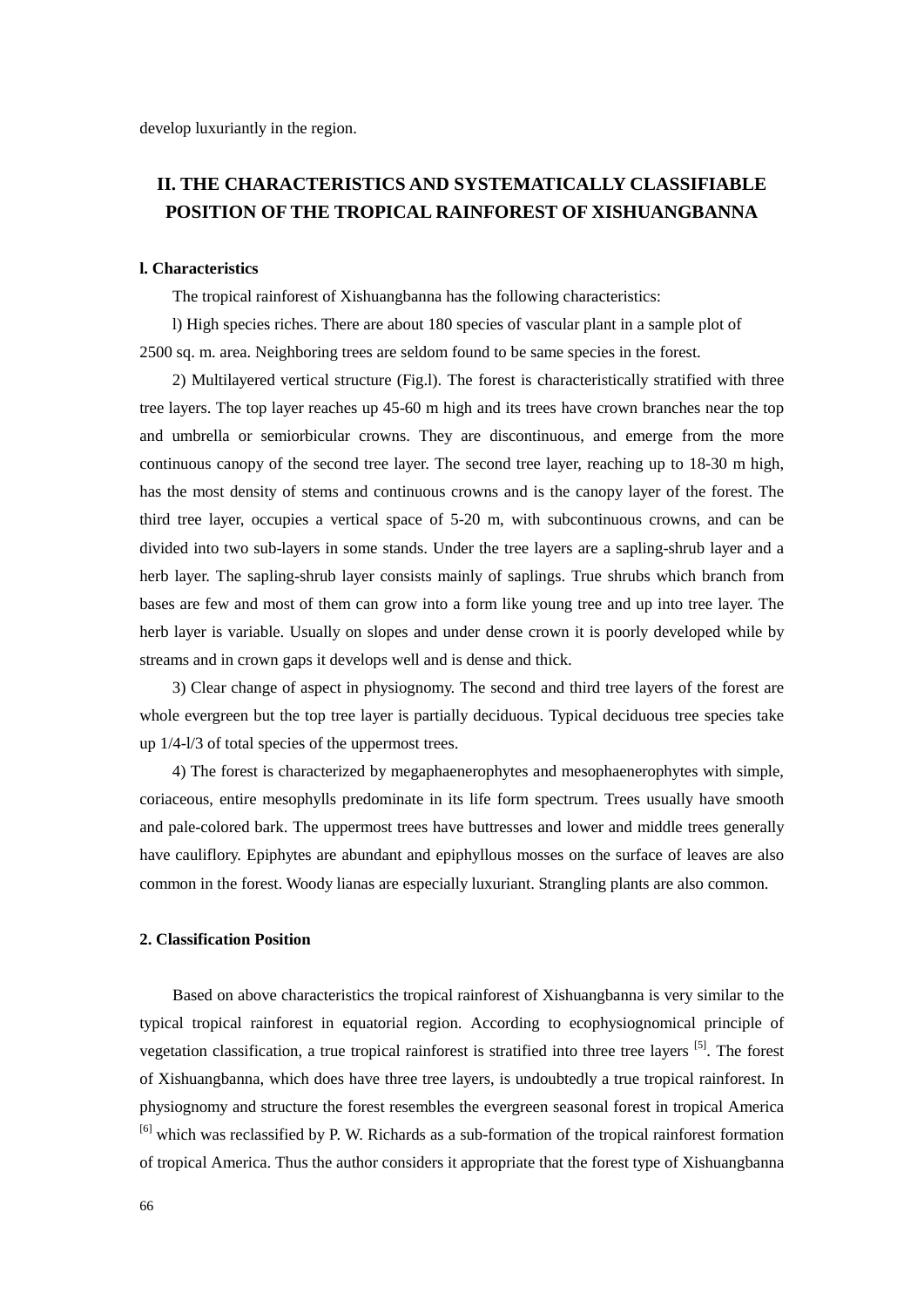# **II. THE CHARACTERISTICS AND SYSTEMATICALLY CLASSIFIABLE POSITION OF THE TROPICAL RAINFOREST OF XISHUANGBANNA**

## **l. Characteristics**

The tropical rainforest of Xishuangbanna has the following characteristics:

l) High species riches. There are about 180 species of vascular plant in a sample plot of 2500 sq. m. area. Neighboring trees are seldom found to be same species in the forest.

 2) Multilayered vertical structure (Fig.l). The forest is characteristically stratified with three tree layers. The top layer reaches up 45-60 m high and its trees have crown branches near the top and umbrella or semiorbicular crowns. They are discontinuous, and emerge from the more continuous canopy of the second tree layer. The second tree layer, reaching up to 18-30 m high, has the most density of stems and continuous crowns and is the canopy layer of the forest. The third tree layer, occupies a vertical space of 5-20 m, with subcontinuous crowns, and can be divided into two sub-layers in some stands. Under the tree layers are a sapling-shrub layer and a herb layer. The sapling-shrub layer consists mainly of saplings. True shrubs which branch from bases are few and most of them can grow into a form like young tree and up into tree layer. The herb layer is variable. Usually on slopes and under dense crown it is poorly developed while by streams and in crown gaps it develops well and is dense and thick.

 3) Clear change of aspect in physiognomy. The second and third tree layers of the forest are whole evergreen but the top tree layer is partially deciduous. Typical deciduous tree species take up 1/4-l/3 of total species of the uppermost trees.

 4) The forest is characterized by megaphaenerophytes and mesophaenerophytes with simple, coriaceous, entire mesophylls predominate in its life form spectrum. Trees usually have smooth and pale-colored bark. The uppermost trees have buttresses and lower and middle trees generally have cauliflory. Epiphytes are abundant and epiphyllous mosses on the surface of leaves are also common in the forest. Woody lianas are especially luxuriant. Strangling plants are also common.

#### **2. Classification Position**

Based on above characteristics the tropical rainforest of Xishuangbanna is very similar to the typical tropical rainforest in equatorial region. According to ecophysiognomical principle of vegetation classification, a true tropical rainforest is stratified into three tree layers [5]. The forest of Xishuangbanna, which does have three tree layers, is undoubtedly a true tropical rainforest. In physiognomy and structure the forest resembles the evergreen seasonal forest in tropical America [6] which was reclassified by P. W. Richards as a sub-formation of the tropical rainforest formation of tropical America. Thus the author considers it appropriate that the forest type of Xishuangbanna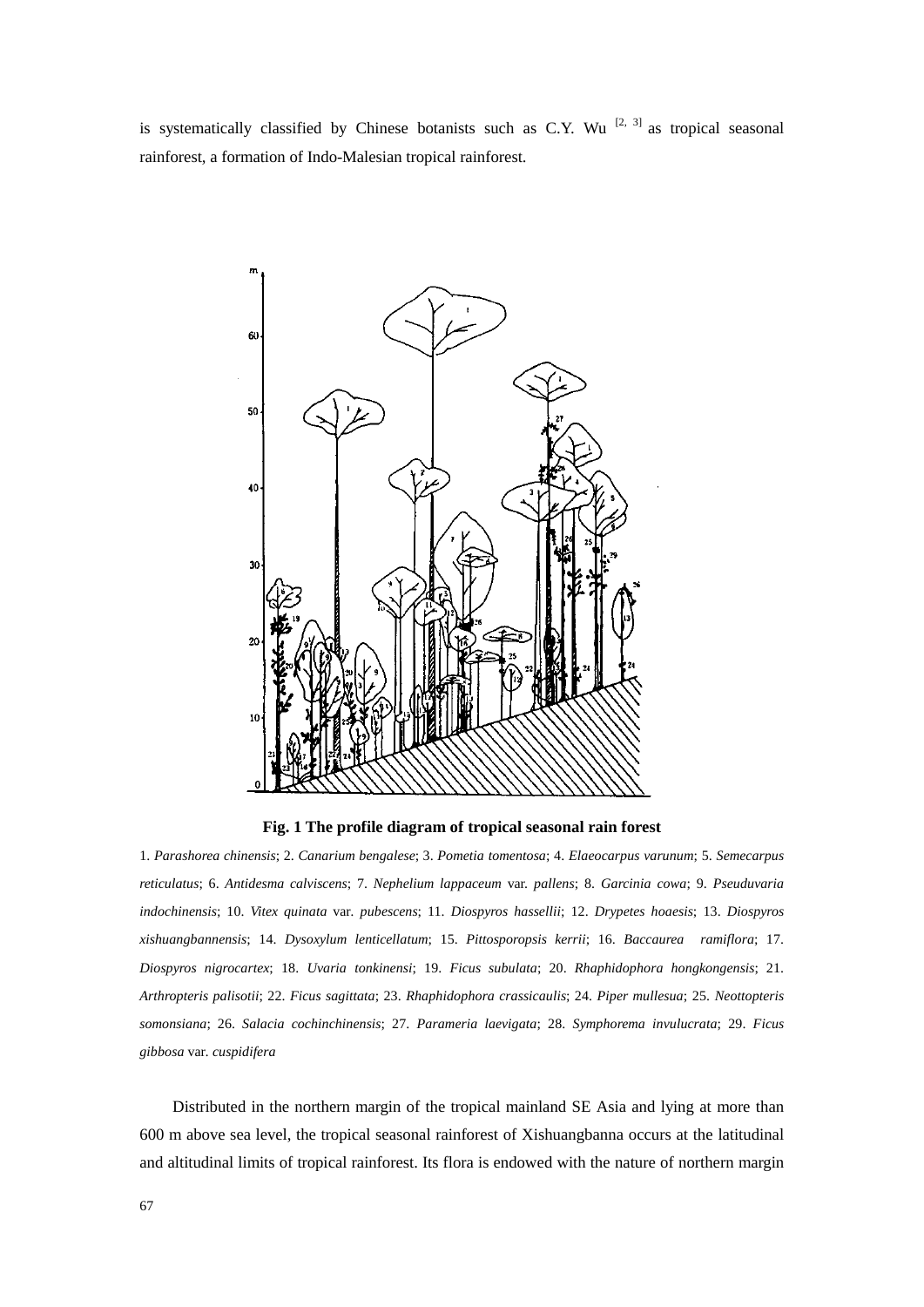is systematically classified by Chinese botanists such as C.Y. Wu  $[2, 3]$  as tropical seasonal rainforest, a formation of Indo-Malesian tropical rainforest.



**Fig. 1 The profile diagram of tropical seasonal rain forest** 

1. *Parashorea chinensis*; 2. *Canarium bengalese*; 3. *Pometia tomentosa*; 4. *Elaeocarpus varunum*; 5. *Semecarpus reticulatus*; 6. *Antidesma calviscens*; 7. *Nephelium lappaceum* var. *pallens*; 8. *Garcinia cowa*; 9. *Pseuduvaria indochinensis*; 10. *Vitex quinata* var*. pubescens*; 11. *Diospyros hassellii*; 12. *Drypetes hoaesis*; 13. *Diospyros xishuangbannensis*; 14. *Dysoxylum lenticellatum*; 15. *Pittosporopsis kerrii*; 16. *Baccaurea ramiflora*; 17. *Diospyros nigrocartex*; 18. *Uvaria tonkinensi*; 19. *Ficus subulata*; 20. *Rhaphidophora hongkongensis*; 21. *Arthropteris palisotii*; 22. *Ficus sagittata*; 23. *Rhaphidophora crassicaulis*; 24. *Piper mullesua*; 25. *Neottopteris somonsiana*; 26. *Salacia cochinchinensis*; 27. *Parameria laevigata*; 28. *Symphorema invulucrata*; 29. *Ficus gibbosa* var*. cuspidifera*

Distributed in the northern margin of the tropical mainland SE Asia and lying at more than 600 m above sea level, the tropical seasonal rainforest of Xishuangbanna occurs at the latitudinal and altitudinal limits of tropical rainforest. Its flora is endowed with the nature of northern margin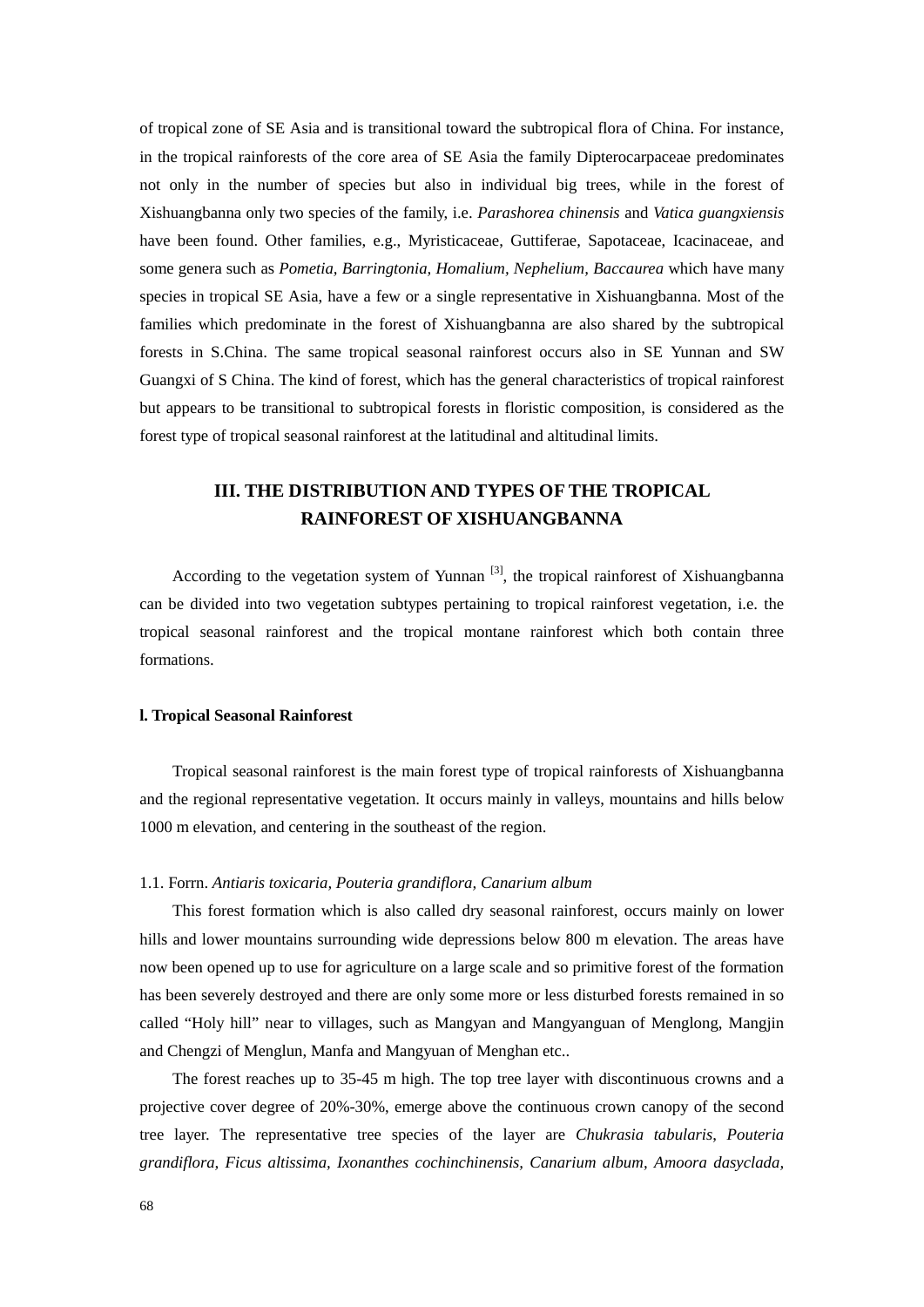of tropical zone of SE Asia and is transitional toward the subtropical flora of China. For instance, in the tropical rainforests of the core area of SE Asia the family Dipterocarpaceae predominates not only in the number of species but also in individual big trees, while in the forest of Xishuangbanna only two species of the family, i.e. *Parashorea chinensis* and *Vatica guangxiensis* have been found. Other families, e.g., Myristicaceae, Guttiferae, Sapotaceae, Icacinaceae, and some genera such as *Pometia, Barringtonia, Homalium, Nephelium, Baccaurea* which have many species in tropical SE Asia, have a few or a single representative in Xishuangbanna. Most of the families which predominate in the forest of Xishuangbanna are also shared by the subtropical forests in S.China. The same tropical seasonal rainforest occurs also in SE Yunnan and SW Guangxi of S China. The kind of forest, which has the general characteristics of tropical rainforest but appears to be transitional to subtropical forests in floristic composition, is considered as the forest type of tropical seasonal rainforest at the latitudinal and altitudinal limits.

# **III. THE DISTRIBUTION AND TYPES OF THE TROPICAL RAINFOREST OF XISHUANGBANNA**

According to the vegetation system of Yunnan  $\left[3\right]$ , the tropical rainforest of Xishuangbanna can be divided into two vegetation subtypes pertaining to tropical rainforest vegetation, i.e. the tropical seasonal rainforest and the tropical montane rainforest which both contain three formations.

#### **l. Tropical Seasonal Rainforest**

Tropical seasonal rainforest is the main forest type of tropical rainforests of Xishuangbanna and the regional representative vegetation. It occurs mainly in valleys, mountains and hills below 1000 m elevation, and centering in the southeast of the region.

#### 1.1. Forrn. *Antiaris toxicaria, Pouteria grandiflora, Canarium album*

This forest formation which is also called dry seasonal rainforest, occurs mainly on lower hills and lower mountains surrounding wide depressions below 800 m elevation. The areas have now been opened up to use for agriculture on a large scale and so primitive forest of the formation has been severely destroyed and there are only some more or less disturbed forests remained in so called "Holy hill" near to villages, such as Mangyan and Mangyanguan of Menglong, Mangjin and Chengzi of Menglun, Manfa and Mangyuan of Menghan etc..

The forest reaches up to 35-45 m high. The top tree layer with discontinuous crowns and a projective cover degree of 20%-30%, emerge above the continuous crown canopy of the second tree layer. The representative tree species of the layer are *Chukrasia tabularis*, *Pouteria grandiflora, Ficus altissima, Ixonanthes cochinchinensis, Canarium album, Amoora dasyclada,*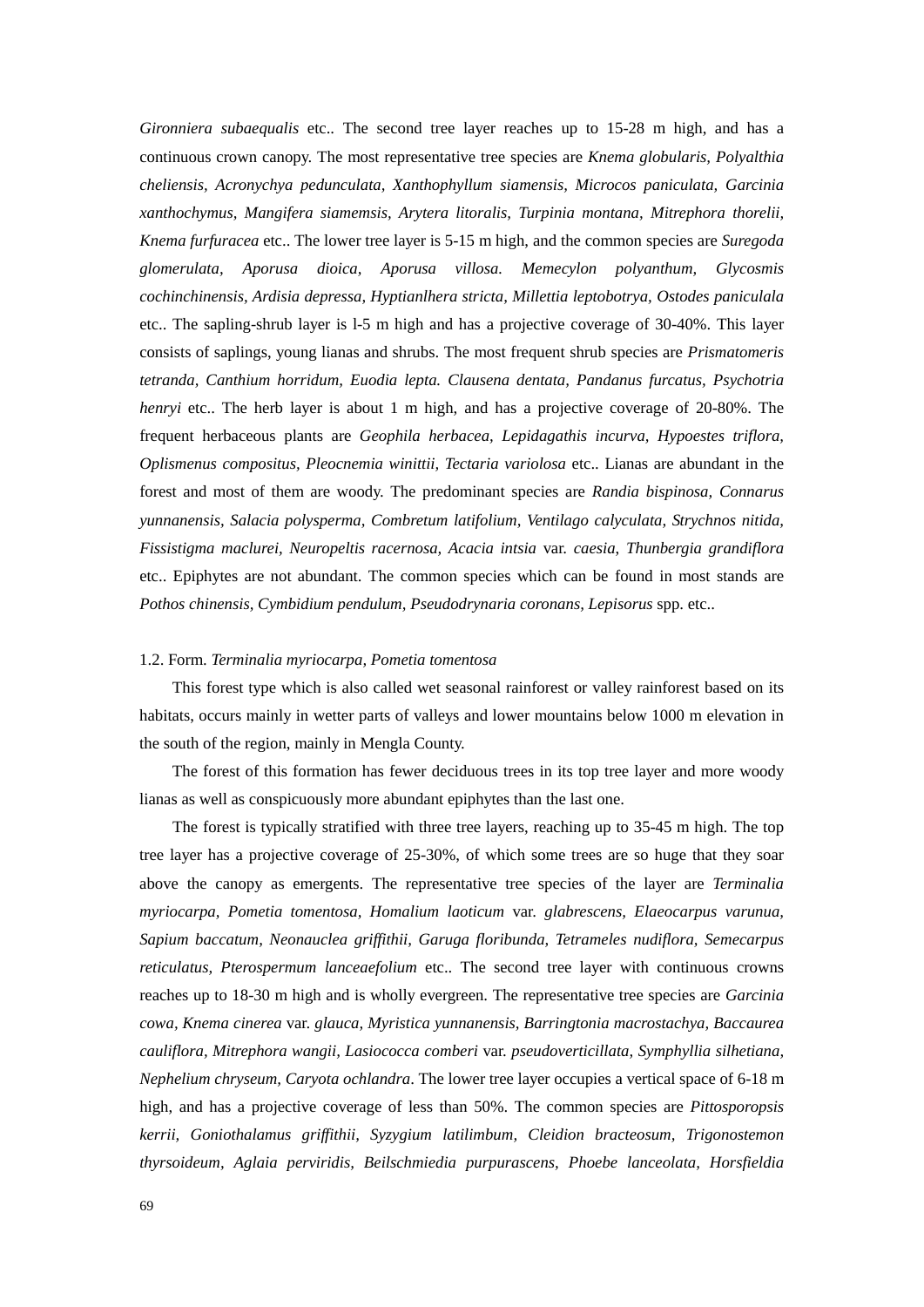*Gironniera subaequalis* etc.. The second tree layer reaches up to 15-28 m high, and has a continuous crown canopy. The most representative tree species are *Knema globularis, Polyalthia cheliensis, Acronychya pedunculata, Xanthophyllum siamensis, Microcos paniculata, Garcinia xanthochymus, Mangifera siamemsis, Arytera litoralis, Turpinia montana, Mitrephora thorelii, Knema furfuracea* etc.. The lower tree layer is 5-15 m high, and the common species are *Suregoda glomerulata, Aporusa dioica, Aporusa villosa. Memecylon polyanthum, Glycosmis cochinchinensis, Ardisia depressa, Hyptianlhera stricta, Millettia leptobotrya, Ostodes paniculala* etc.. The sapling-shrub layer is l-5 m high and has a projective coverage of 30-40%. This layer consists of saplings, young lianas and shrubs. The most frequent shrub species are *Prismatomeris tetranda, Canthium horridum, Euodia lepta. Clausena dentata, Pandanus furcatus, Psychotria henryi* etc.. The herb layer is about 1 m high, and has a projective coverage of 20-80%. The frequent herbaceous plants are *Geophila herbacea, Lepidagathis incurva, Hypoestes triflora, Oplismenus compositus, Pleocnemia winittii, Tectaria variolosa* etc.. Lianas are abundant in the forest and most of them are woody. The predominant species are *Randia bispinosa, Connarus yunnanensis, Salacia polysperma, Combretum latifolium, Ventilago calyculata, Strychnos nitida, Fissistigma maclurei, Neuropeltis racernosa, Acacia intsia* var. *caesia*, *Thunbergia grandiflora* etc.. Epiphytes are not abundant. The common species which can be found in most stands are *Pothos chinensis, Cymbidium pendulum, Pseudodrynaria coronans, Lepisorus* spp. etc..

#### 1.2. Form. *Terminalia myriocarpa, Pometia tomentosa*

 This forest type which is also called wet seasonal rainforest or valley rainforest based on its habitats, occurs mainly in wetter parts of valleys and lower mountains below 1000 m elevation in the south of the region, mainly in Mengla County.

 The forest of this formation has fewer deciduous trees in its top tree layer and more woody lianas as well as conspicuously more abundant epiphytes than the last one.

The forest is typically stratified with three tree layers, reaching up to 35-45 m high. The top tree layer has a projective coverage of 25-30%, of which some trees are so huge that they soar above the canopy as emergents. The representative tree species of the layer are *Terminalia myriocarpa, Pometia tomentosa, Homalium laoticum* var. *glabrescens, Elaeocarpus varunua, Sapium baccatum, Neonauclea griffithii, Garuga floribunda, Tetrameles nudiflora, Semecarpus reticulatus, Pterospermum lanceaefolium* etc.. The second tree layer with continuous crowns reaches up to 18-30 m high and is wholly evergreen. The representative tree species are *Garcinia cowa, Knema cinerea* var. *glauca, Myristica yunnanensis, Barringtonia macrostachya, Baccaurea cauliflora, Mitrephora wangii, Lasiococca comberi* var. *pseudoverticillata, Symphyllia silhetiana, Nephelium chryseum, Caryota ochlandra*. The lower tree layer occupies a vertical space of 6-18 m high, and has a projective coverage of less than 50%. The common species are *Pittosporopsis kerrii, Goniothalamus griffithii, Syzygium latilimbum, Cleidion bracteosum, Trigonostemon thyrsoideum, Aglaia perviridis, Beilschmiedia purpurascens, Phoebe lanceolata, Horsfieldia*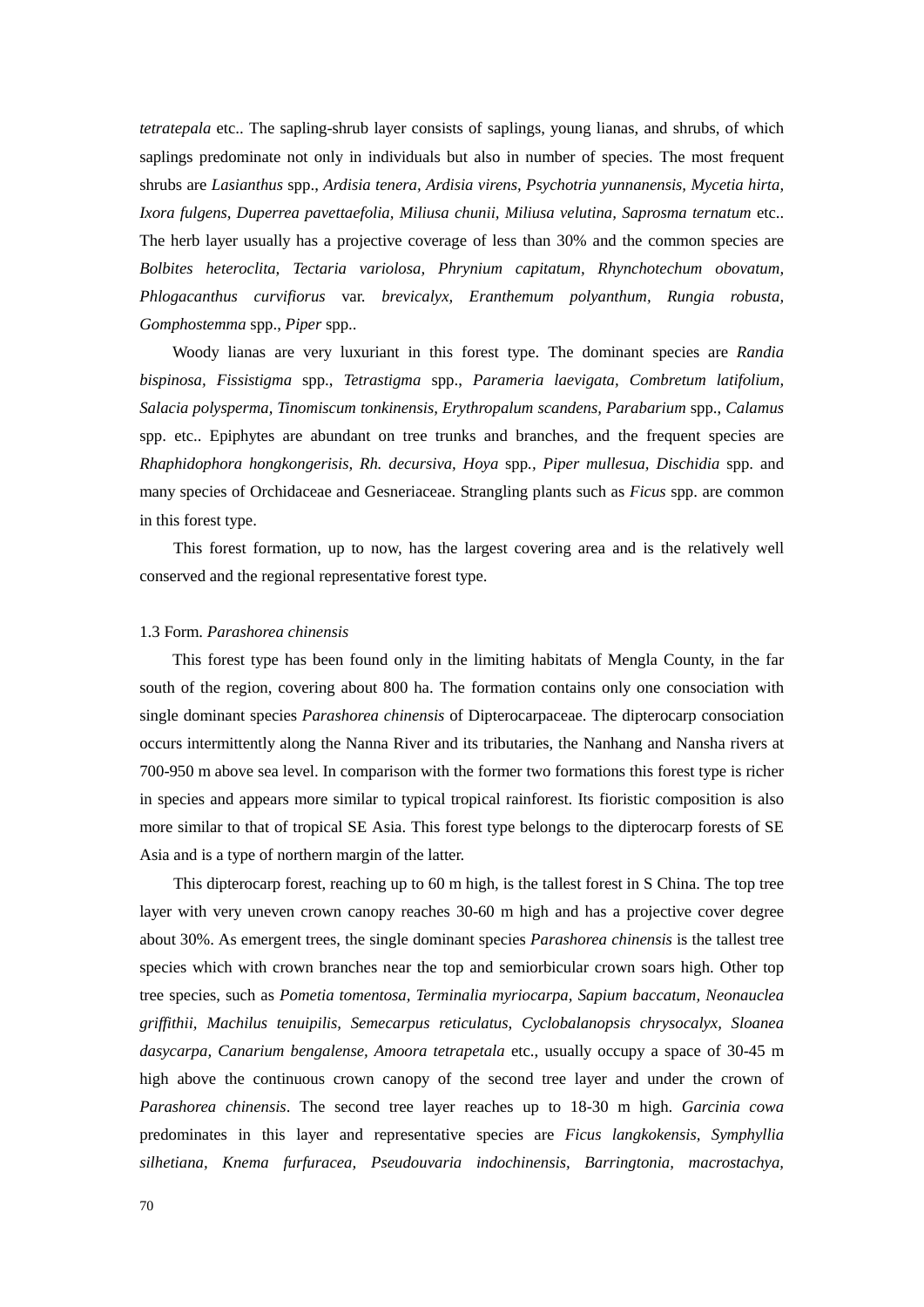*tetratepala* etc.. The sapling-shrub layer consists of saplings, young lianas, and shrubs, of which saplings predominate not only in individuals but also in number of species. The most frequent shrubs are *Lasianthus* spp., *Ardisia tenera, Ardisia virens, Psychotria yunnanensis, Mycetia hirta, Ixora fulgens, Duperrea pavettaefolia, Miliusa chunii, Miliusa velutina, Saprosma ternatum* etc.. The herb layer usually has a projective coverage of less than 30% and the common species are *Bolbites heteroclita, Tectaria variolosa, Phrynium capitatum, Rhynchotechum obovatum, Phlogacanthus curvifiorus* var. *brevicalyx, Eranthemum polyanthum, Rungia robusta, Gomphostemma* spp., *Piper* spp..

Woody lianas are very luxuriant in this forest type. The dominant species are *Randia bispinosa, Fissistigma* spp., *Tetrastigma* spp., *Parameria laevigata, Combretum latifolium, Salacia polysperma, Tinomiscum tonkinensis, Erythropalum scandens, Parabarium* spp., *Calamus*  spp. etc.. Epiphytes are abundant on tree trunks and branches, and the frequent species are *Rhaphidophora hongkongerisis, Rh. decursiva, Hoya* spp*., Piper mullesua, Dischidia* spp. and many species of Orchidaceae and Gesneriaceae. Strangling plants such as *Ficus* spp. are common in this forest type.

This forest formation, up to now, has the largest covering area and is the relatively well conserved and the regional representative forest type.

#### 1.3 Form. *Parashorea chinensis*

This forest type has been found only in the limiting habitats of Mengla County, in the far south of the region, covering about 800 ha. The formation contains only one consociation with single dominant species *Parashorea chinensis* of Dipterocarpaceae. The dipterocarp consociation occurs intermittently along the Nanna River and its tributaries, the Nanhang and Nansha rivers at 700-950 m above sea level. In comparison with the former two formations this forest type is richer in species and appears more similar to typical tropical rainforest. Its fioristic composition is also more similar to that of tropical SE Asia. This forest type belongs to the dipterocarp forests of SE Asia and is a type of northern margin of the latter.

This dipterocarp forest, reaching up to 60 m high, is the tallest forest in S China. The top tree layer with very uneven crown canopy reaches 30-60 m high and has a projective cover degree about 30%. As emergent trees, the single dominant species *Parashorea chinensis* is the tallest tree species which with crown branches near the top and semiorbicular crown soars high. Other top tree species, such as *Pometia tomentosa, Terminalia myriocarpa, Sapium baccatum, Neonauclea griffithii, Machilus tenuipilis, Semecarpus reticulatus, Cyclobalanopsis chrysocalyx, Sloanea dasycarpa, Canarium bengalense, Amoora tetrapetala* etc., usually occupy a space of 30-45 m high above the continuous crown canopy of the second tree layer and under the crown of *Parashorea chinensis*. The second tree layer reaches up to 18-30 m high. *Garcinia cowa* predominates in this layer and representative species are *Ficus langkokensis, Symphyllia silhetiana, Knema furfuracea, Pseudouvaria indochinensis, Barringtonia, macrostachya,*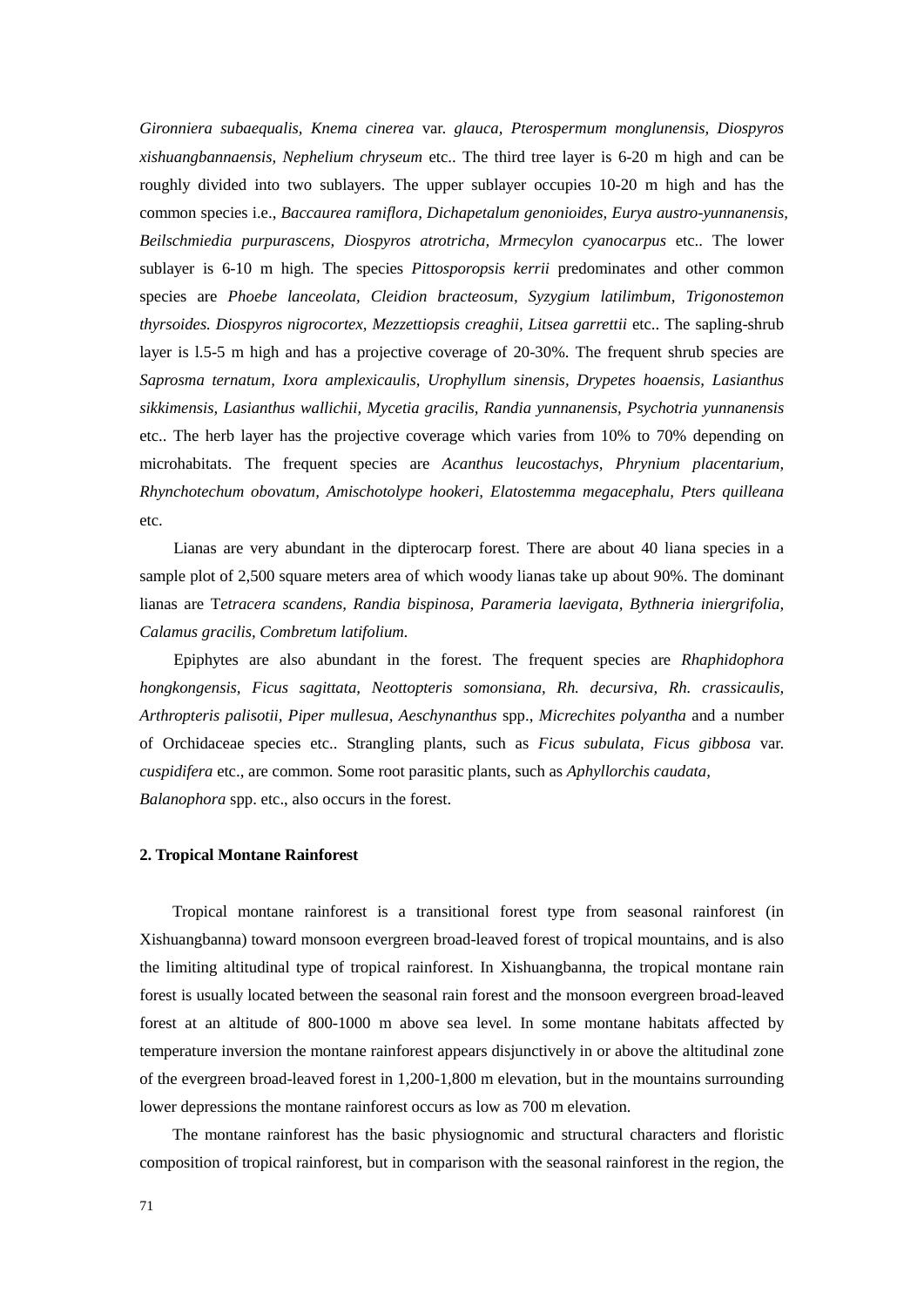*Gironniera subaequalis, Knema cinerea* var. *glauca, Pterospermum monglunensis, Diospyros xishuangbannaensis, Nephelium chryseum* etc.. The third tree layer is 6-20 m high and can be roughly divided into two sublayers. The upper sublayer occupies 10-20 m high and has the common species i.e., *Baccaurea ramiflora, Dichapetalum genonioides, Eurya austro-yunnanensis, Beilschmiedia purpurascens, Diospyros atrotricha, Mrmecylon cyanocarpus* etc.. The lower sublayer is 6-10 m high. The species *Pittosporopsis kerrii* predominates and other common species are *Phoebe lanceolata, Cleidion bracteosum, Syzygium latilimbum, Trigonostemon thyrsoides. Diospyros nigrocortex, Mezzettiopsis creaghii, Litsea garrettii* etc.. The sapling-shrub layer is l.5-5 m high and has a projective coverage of 20-30%. The frequent shrub species are *Saprosma ternatum, Ixora amplexicaulis, Urophyllum sinensis, Drypetes hoaensis, Lasianthus sikkimensis, Lasianthus wallichii, Mycetia gracilis, Randia yunnanensis, Psychotria yunnanensis* etc.. The herb layer has the projective coverage which varies from 10% to 70% depending on microhabitats. The frequent species are *Acanthus leucostachys, Phrynium placentarium, Rhynchotechum obovatum, Amischotolype hookeri, Elatostemma megacephalu, Pters quilleana*  etc.

Lianas are very abundant in the dipterocarp forest. There are about 40 liana species in a sample plot of 2,500 square meters area of which woody lianas take up about 90%. The dominant lianas are T*etracera scandens, Randia bispinosa, Parameria laevigata, Bythneria iniergrifolia, Calamus gracilis, Combretum latifolium.* 

Epiphytes are also abundant in the forest. The frequent species are *Rhaphidophora hongkongensis, Ficus sagittata, Neottopteris somonsiana, Rh. decursiva, Rh. crassicaulis, Arthropteris palisotii, Piper mullesua, Aeschynanthus* spp., *Micrechites polyantha* and a number of Orchidaceae species etc.. Strangling plants, such as *Ficus subulata, Ficus gibbosa* var. *cuspidifera* etc., are common. Some root parasitic plants, such as *Aphyllorchis caudata, Balanophora* spp. etc., also occurs in the forest.

#### **2. Tropical Montane Rainforest**

Tropical montane rainforest is a transitional forest type from seasonal rainforest (in Xishuangbanna) toward monsoon evergreen broad-leaved forest of tropical mountains, and is also the limiting altitudinal type of tropical rainforest. In Xishuangbanna, the tropical montane rain forest is usually located between the seasonal rain forest and the monsoon evergreen broad-leaved forest at an altitude of 800-1000 m above sea level. In some montane habitats affected by temperature inversion the montane rainforest appears disjunctively in or above the altitudinal zone of the evergreen broad-leaved forest in 1,200-1,800 m elevation, but in the mountains surrounding lower depressions the montane rainforest occurs as low as 700 m elevation.

The montane rainforest has the basic physiognomic and structural characters and floristic composition of tropical rainforest, but in comparison with the seasonal rainforest in the region, the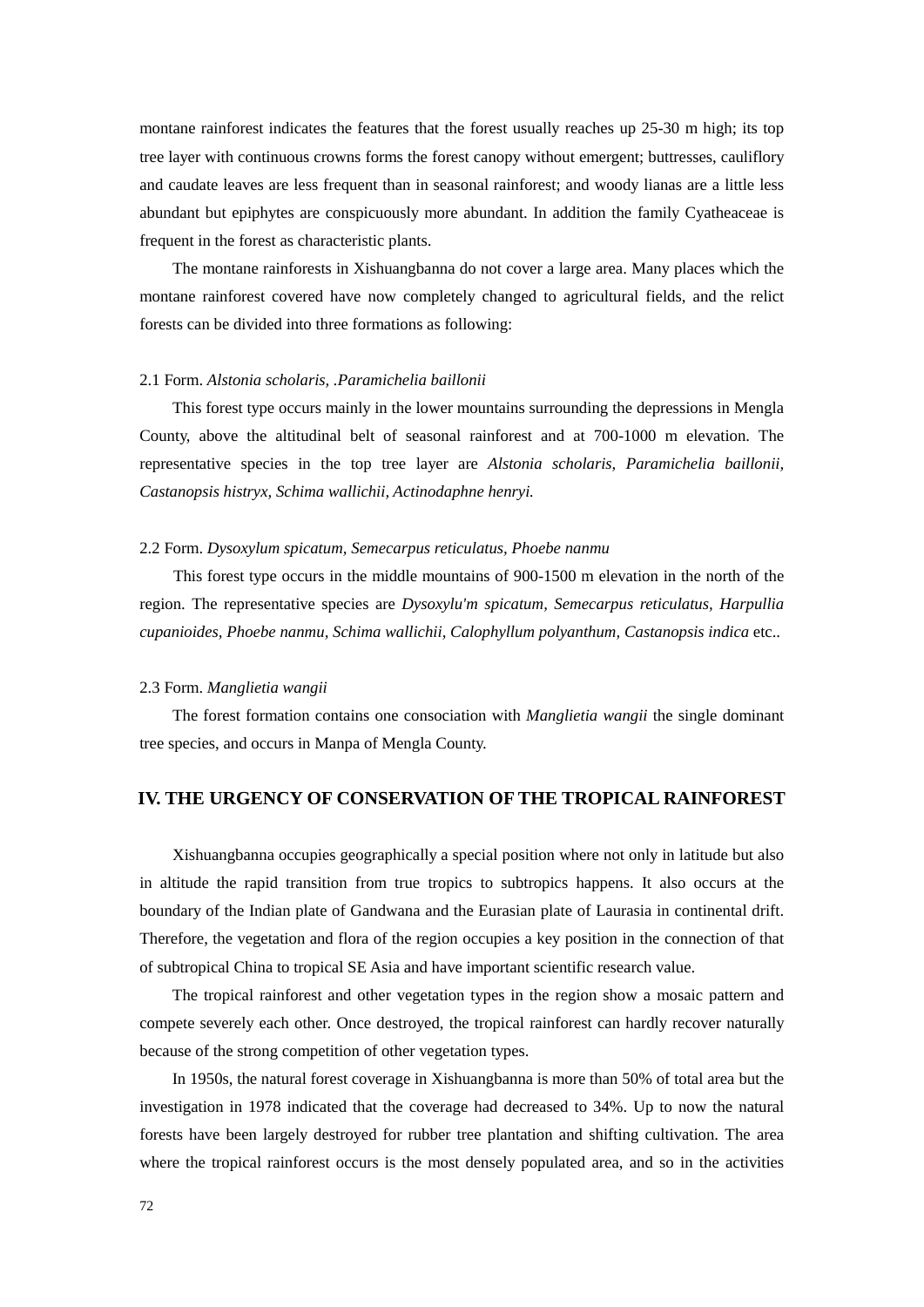montane rainforest indicates the features that the forest usually reaches up 25-30 m high; its top tree layer with continuous crowns forms the forest canopy without emergent; buttresses, cauliflory and caudate leaves are less frequent than in seasonal rainforest; and woody lianas are a little less abundant but epiphytes are conspicuously more abundant. In addition the family Cyatheaceae is frequent in the forest as characteristic plants.

The montane rainforests in Xishuangbanna do not cover a large area. Many places which the montane rainforest covered have now completely changed to agricultural fields, and the relict forests can be divided into three formations as following:

#### 2.1 Form. *Alstonia scholaris, .Paramichelia baillonii*

This forest type occurs mainly in the lower mountains surrounding the depressions in Mengla County, above the altitudinal belt of seasonal rainforest and at 700-1000 m elevation. The representative species in the top tree layer are *Alstonia scholaris, Paramichelia baillonii, Castanopsis histryx, Schima wallichii, Actinodaphne henryi.*

#### 2.2 Form. *Dysoxylum spicatum, Semecarpus reticulatus, Phoebe nanmu*

This forest type occurs in the middle mountains of 900-1500 m elevation in the north of the region. The representative species are *Dysoxylu'm spicatum, Semecarpus reticulatus, Harpullia cupanioides, Phoebe nanmu, Schima wallichii, Calophyllum polyanthum, Castanopsis indica* etc..

#### 2.3 Form. *Manglietia wangii*

The forest formation contains one consociation with *Manglietia wangii* the single dominant tree species, and occurs in Manpa of Mengla County.

# **IV. THE URGENCY OF CONSERVATION OF THE TROPICAL RAINFOREST**

Xishuangbanna occupies geographically a special position where not only in latitude but also in altitude the rapid transition from true tropics to subtropics happens. It also occurs at the boundary of the Indian plate of Gandwana and the Eurasian plate of Laurasia in continental drift. Therefore, the vegetation and flora of the region occupies a key position in the connection of that of subtropical China to tropical SE Asia and have important scientific research value.

 The tropical rainforest and other vegetation types in the region show a mosaic pattern and compete severely each other. Once destroyed, the tropical rainforest can hardly recover naturally because of the strong competition of other vegetation types.

 In 1950s, the natural forest coverage in Xishuangbanna is more than 50% of total area but the investigation in 1978 indicated that the coverage had decreased to 34%. Up to now the natural forests have been largely destroyed for rubber tree plantation and shifting cultivation. The area where the tropical rainforest occurs is the most densely populated area, and so in the activities